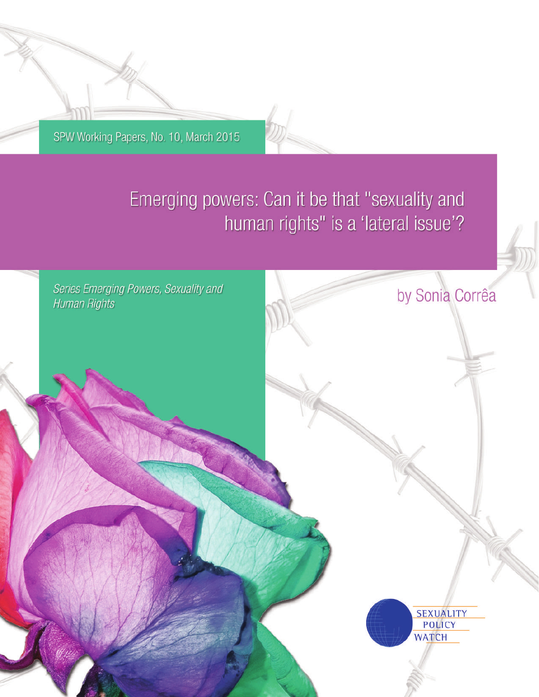SPW Working Papers, No. 10, March 2015

# Emerging powers: Can it be that "sexuality and human rights" is a 'lateral issue'?

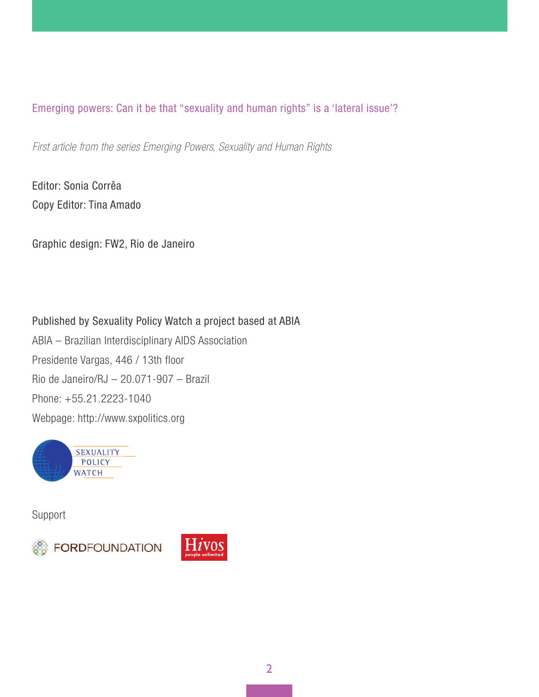*First article from the series Emerging Powers, Sexuality and Human Rights* 

Editor: Sonia Corrêa Copy Editor: Tina Amado

Graphic design: FW2, Rio de Janeiro

Published by Sexuality Policy Watch a project based at ABIA ABIA – Brazilian Interdisciplinary AIDS Association Presidente Vargas, 446 / 13th floor Rio de Janeiro/RJ – 20.071-907 – Brazil Phone: +55.21.2223-1040 Webpage: http://www.sxpolitics.org



Support



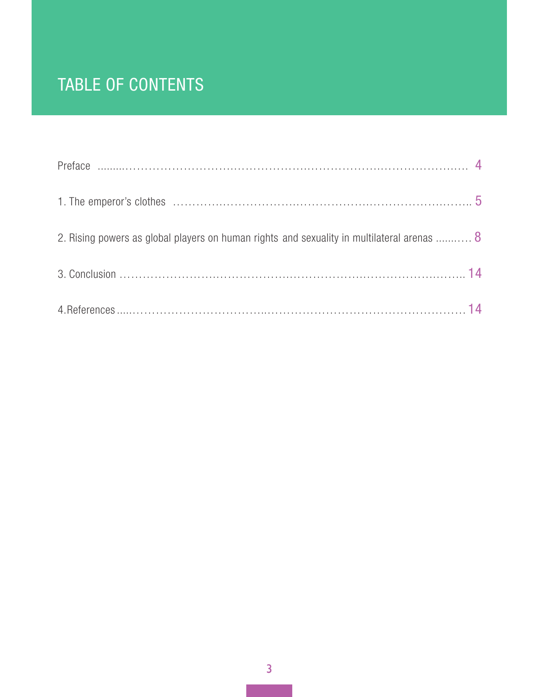# TABLE OF CONTENTS

| 2. Rising powers as global players on human rights and sexuality in multilateral arenas  8 |  |
|--------------------------------------------------------------------------------------------|--|
|                                                                                            |  |
|                                                                                            |  |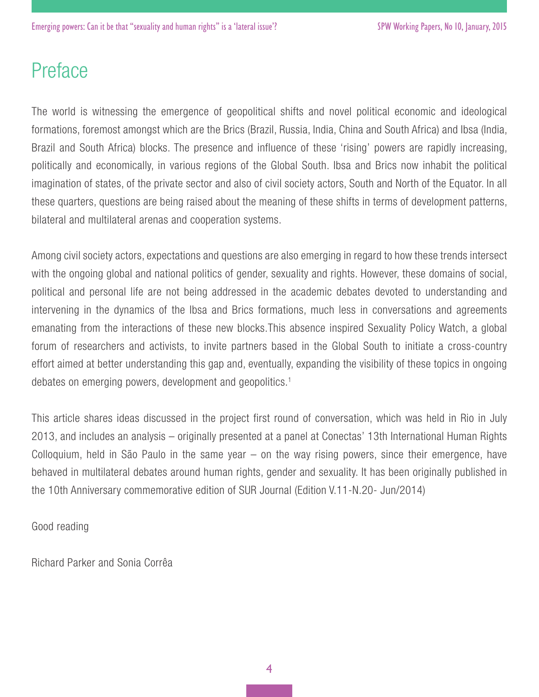# Preface

The world is witnessing the emergence of geopolitical shifts and novel political economic and ideological formations, foremost amongst which are the Brics (Brazil, Russia, India, China and South Africa) and Ibsa (India, Brazil and South Africa) blocks. The presence and influence of these 'rising' powers are rapidly increasing, politically and economically, in various regions of the Global South. Ibsa and Brics now inhabit the political imagination of states, of the private sector and also of civil society actors, South and North of the Equator. In all these quarters, questions are being raised about the meaning of these shifts in terms of development patterns, bilateral and multilateral arenas and cooperation systems.

Among civil society actors, expectations and questions are also emerging in regard to how these trends intersect with the ongoing global and national politics of gender, sexuality and rights. However, these domains of social, political and personal life are not being addressed in the academic debates devoted to understanding and intervening in the dynamics of the Ibsa and Brics formations, much less in conversations and agreements emanating from the interactions of these new blocks.This absence inspired Sexuality Policy Watch, a global forum of researchers and activists, to invite partners based in the Global South to initiate a cross-country effort aimed at better understanding this gap and, eventually, expanding the visibility of these topics in ongoing debates on emerging powers, development and geopolitics.1

This article shares ideas discussed in the project first round of conversation, which was held in Rio in July 2013, and includes an analysis – originally presented at a panel at Conectas' 13th International Human Rights Colloquium, held in São Paulo in the same year – on the way rising powers, since their emergence, have behaved in multilateral debates around human rights, gender and sexuality. It has been originally published in the 10th Anniversary commemorative edition of SUR Journal (Edition V.11-N.20- Jun/2014)

Good reading

Richard Parker and Sonia Corrêa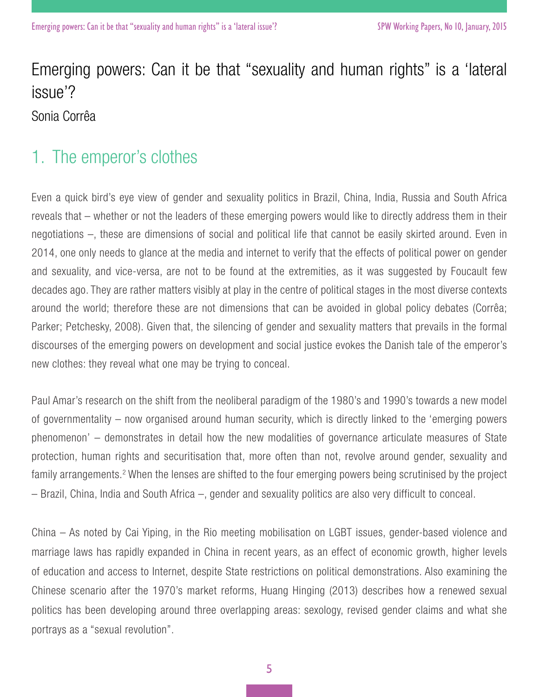Sonia Corrêa

### 1. The emperor's clothes

Even a quick bird's eye view of gender and sexuality politics in Brazil, China, India, Russia and South Africa reveals that – whether or not the leaders of these emerging powers would like to directly address them in their negotiations –, these are dimensions of social and political life that cannot be easily skirted around. Even in 2014, one only needs to glance at the media and internet to verify that the effects of political power on gender and sexuality, and vice-versa, are not to be found at the extremities, as it was suggested by Foucault few decades ago. They are rather matters visibly at play in the centre of political stages in the most diverse contexts around the world; therefore these are not dimensions that can be avoided in global policy debates (Corrêa; Parker; Petchesky, 2008). Given that, the silencing of gender and sexuality matters that prevails in the formal discourses of the emerging powers on development and social justice evokes the Danish tale of the emperor's new clothes: they reveal what one may be trying to conceal.

Paul Amar's research on the shift from the neoliberal paradigm of the 1980's and 1990's towards a new model of governmentality – now organised around human security, which is directly linked to the 'emerging powers phenomenon' – demonstrates in detail how the new modalities of governance articulate measures of State protection, human rights and securitisation that, more often than not, revolve around gender, sexuality and family arrangements.<sup>2</sup> When the lenses are shifted to the four emerging powers being scrutinised by the project – Brazil, China, India and South Africa –, gender and sexuality politics are also very difficult to conceal.

China – As noted by Cai Yiping, in the Rio meeting mobilisation on LGBT issues, gender-based violence and marriage laws has rapidly expanded in China in recent years, as an effect of economic growth, higher levels of education and access to Internet, despite State restrictions on political demonstrations. Also examining the Chinese scenario after the 1970's market reforms, Huang Hinging (2013) describes how a renewed sexual politics has been developing around three overlapping areas: sexology, revised gender claims and what she portrays as a "sexual revolution".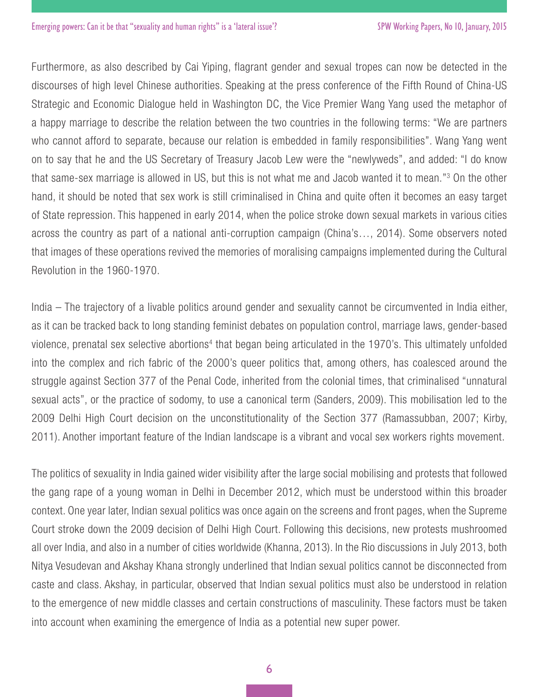Furthermore, as also described by Cai Yiping, flagrant gender and sexual tropes can now be detected in the discourses of high level Chinese authorities. Speaking at the press conference of the Fifth Round of China-US Strategic and Economic Dialogue held in Washington DC, the Vice Premier Wang Yang used the metaphor of a happy marriage to describe the relation between the two countries in the following terms: "We are partners who cannot afford to separate, because our relation is embedded in family responsibilities". Wang Yang went on to say that he and the US Secretary of Treasury Jacob Lew were the "newlyweds", and added: "I do know that same-sex marriage is allowed in US, but this is not what me and Jacob wanted it to mean."3 On the other hand, it should be noted that sex work is still criminalised in China and quite often it becomes an easy target of State repression. This happened in early 2014, when the police stroke down sexual markets in various cities across the country as part of a national anti-corruption campaign (China's…, 2014). Some observers noted that images of these operations revived the memories of moralising campaigns implemented during the Cultural Revolution in the 1960-1970.

India – The trajectory of a livable politics around gender and sexuality cannot be circumvented in India either, as it can be tracked back to long standing feminist debates on population control, marriage laws, gender-based violence, prenatal sex selective abortions<sup>4</sup> that began being articulated in the 1970's. This ultimately unfolded into the complex and rich fabric of the 2000's queer politics that, among others, has coalesced around the struggle against Section 377 of the Penal Code, inherited from the colonial times, that criminalised "unnatural sexual acts", or the practice of sodomy, to use a canonical term (Sanders, 2009). This mobilisation led to the 2009 Delhi High Court decision on the unconstitutionality of the Section 377 (Ramassubban, 2007; Kirby, 2011). Another important feature of the Indian landscape is a vibrant and vocal sex workers rights movement.

The politics of sexuality in India gained wider visibility after the large social mobilising and protests that followed the gang rape of a young woman in Delhi in December 2012, which must be understood within this broader context. One year later, Indian sexual politics was once again on the screens and front pages, when the Supreme Court stroke down the 2009 decision of Delhi High Court. Following this decisions, new protests mushroomed all over India, and also in a number of cities worldwide (Khanna, 2013). In the Rio discussions in July 2013, both Nitya Vesudevan and Akshay Khana strongly underlined that Indian sexual politics cannot be disconnected from caste and class. Akshay, in particular, observed that Indian sexual politics must also be understood in relation to the emergence of new middle classes and certain constructions of masculinity. These factors must be taken into account when examining the emergence of India as a potential new super power.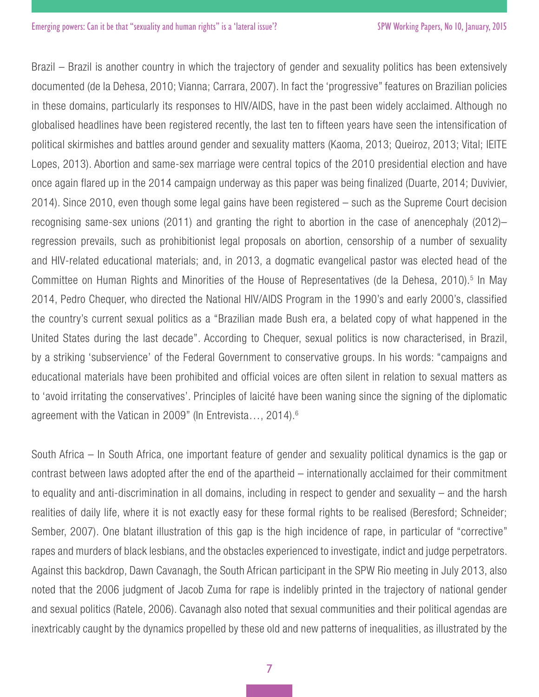Brazil – Brazil is another country in which the trajectory of gender and sexuality politics has been extensively documented (de la Dehesa, 2010; Vianna; Carrara, 2007). In fact the 'progressive" features on Brazilian policies in these domains, particularly its responses to HIV/AIDS, have in the past been widely acclaimed. Although no globalised headlines have been registered recently, the last ten to fifteen years have seen the intensification of political skirmishes and battles around gender and sexuality matters (Kaoma, 2013; Queiroz, 2013; Vital; lEITE Lopes, 2013). Abortion and same-sex marriage were central topics of the 2010 presidential election and have once again flared up in the 2014 campaign underway as this paper was being finalized (Duarte, 2014; Duvivier, 2014). Since 2010, even though some legal gains have been registered – such as the Supreme Court decision recognising same-sex unions (2011) and granting the right to abortion in the case of anencephaly (2012)– regression prevails, such as prohibitionist legal proposals on abortion, censorship of a number of sexuality and HIV-related educational materials; and, in 2013, a dogmatic evangelical pastor was elected head of the Committee on Human Rights and Minorities of the House of Representatives (de la Dehesa, 2010).<sup>5</sup> In May 2014, Pedro Chequer, who directed the National HIV/AIDS Program in the 1990's and early 2000's, classified the country's current sexual politics as a "Brazilian made Bush era, a belated copy of what happened in the United States during the last decade". According to Chequer, sexual politics is now characterised, in Brazil, by a striking 'subservience' of the Federal Government to conservative groups. In his words: "campaigns and educational materials have been prohibited and official voices are often silent in relation to sexual matters as to 'avoid irritating the conservatives'. Principles of laicité have been waning since the signing of the diplomatic agreement with the Vatican in 2009" (In Entrevista..., 2014).<sup>6</sup>

South Africa – In South Africa, one important feature of gender and sexuality political dynamics is the gap or contrast between laws adopted after the end of the apartheid – internationally acclaimed for their commitment to equality and anti-discrimination in all domains, including in respect to gender and sexuality – and the harsh realities of daily life, where it is not exactly easy for these formal rights to be realised (Beresford; Schneider; Sember, 2007). One blatant illustration of this gap is the high incidence of rape, in particular of "corrective" rapes and murders of black lesbians, and the obstacles experienced to investigate, indict and judge perpetrators. Against this backdrop, Dawn Cavanagh, the South African participant in the SPW Rio meeting in July 2013, also noted that the 2006 judgment of Jacob Zuma for rape is indelibly printed in the trajectory of national gender and sexual politics (Ratele, 2006). Cavanagh also noted that sexual communities and their political agendas are inextricably caught by the dynamics propelled by these old and new patterns of inequalities, as illustrated by the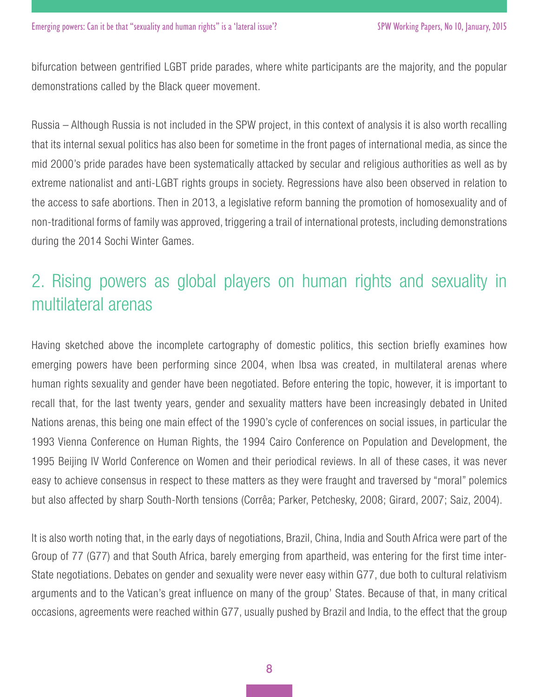bifurcation between gentrified LGBT pride parades, where white participants are the majority, and the popular demonstrations called by the Black queer movement.

Russia – Although Russia is not included in the SPW project, in this context of analysis it is also worth recalling that its internal sexual politics has also been for sometime in the front pages of international media, as since the mid 2000's pride parades have been systematically attacked by secular and religious authorities as well as by extreme nationalist and anti-LGBT rights groups in society. Regressions have also been observed in relation to the access to safe abortions. Then in 2013, a legislative reform banning the promotion of homosexuality and of non-traditional forms of family was approved, triggering a trail of international protests, including demonstrations during the 2014 Sochi Winter Games.

## 2. Rising powers as global players on human rights and sexuality in multilateral arenas

Having sketched above the incomplete cartography of domestic politics, this section briefly examines how emerging powers have been performing since 2004, when Ibsa was created, in multilateral arenas where human rights sexuality and gender have been negotiated. Before entering the topic, however, it is important to recall that, for the last twenty years, gender and sexuality matters have been increasingly debated in United Nations arenas, this being one main effect of the 1990's cycle of conferences on social issues, in particular the 1993 Vienna Conference on Human Rights, the 1994 Cairo Conference on Population and Development, the 1995 Beijing IV World Conference on Women and their periodical reviews. In all of these cases, it was never easy to achieve consensus in respect to these matters as they were fraught and traversed by "moral" polemics but also affected by sharp South-North tensions (Corrêa; Parker, Petchesky, 2008; Girard, 2007; Saiz, 2004).

It is also worth noting that, in the early days of negotiations, Brazil, China, India and South Africa were part of the Group of 77 (G77) and that South Africa, barely emerging from apartheid, was entering for the first time inter-State negotiations. Debates on gender and sexuality were never easy within G77, due both to cultural relativism arguments and to the Vatican's great influence on many of the group' States. Because of that, in many critical occasions, agreements were reached within G77, usually pushed by Brazil and India, to the effect that the group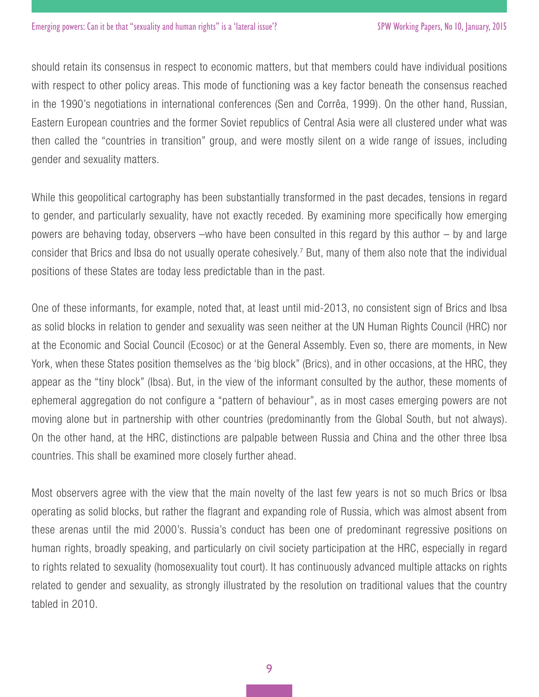should retain its consensus in respect to economic matters, but that members could have individual positions with respect to other policy areas. This mode of functioning was a key factor beneath the consensus reached in the 1990's negotiations in international conferences (Sen and Corrêa, 1999). On the other hand, Russian, Eastern European countries and the former Soviet republics of Central Asia were all clustered under what was then called the "countries in transition" group, and were mostly silent on a wide range of issues, including gender and sexuality matters.

While this geopolitical cartography has been substantially transformed in the past decades, tensions in regard to gender, and particularly sexuality, have not exactly receded. By examining more specifically how emerging powers are behaving today, observers –who have been consulted in this regard by this author – by and large consider that Brics and Ibsa do not usually operate cohesively.<sup>7</sup> But, many of them also note that the individual positions of these States are today less predictable than in the past.

One of these informants, for example, noted that, at least until mid-2013, no consistent sign of Brics and Ibsa as solid blocks in relation to gender and sexuality was seen neither at the UN Human Rights Council (HRC) nor at the Economic and Social Council (Ecosoc) or at the General Assembly. Even so, there are moments, in New York, when these States position themselves as the 'big block" (Brics), and in other occasions, at the HRC, they appear as the "tiny block" (Ibsa). But, in the view of the informant consulted by the author, these moments of ephemeral aggregation do not configure a "pattern of behaviour", as in most cases emerging powers are not moving alone but in partnership with other countries (predominantly from the Global South, but not always). On the other hand, at the HRC, distinctions are palpable between Russia and China and the other three Ibsa countries. This shall be examined more closely further ahead.

Most observers agree with the view that the main novelty of the last few years is not so much Brics or Ibsa operating as solid blocks, but rather the flagrant and expanding role of Russia, which was almost absent from these arenas until the mid 2000's. Russia's conduct has been one of predominant regressive positions on human rights, broadly speaking, and particularly on civil society participation at the HRC, especially in regard to rights related to sexuality (homosexuality tout court). It has continuously advanced multiple attacks on rights related to gender and sexuality, as strongly illustrated by the resolution on traditional values that the country tabled in 2010.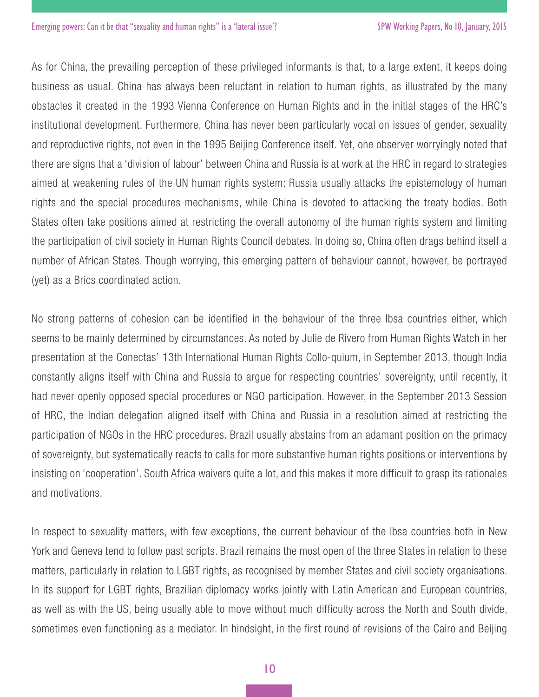As for China, the prevailing perception of these privileged informants is that, to a large extent, it keeps doing business as usual. China has always been reluctant in relation to human rights, as illustrated by the many obstacles it created in the 1993 Vienna Conference on Human Rights and in the initial stages of the HRC's institutional development. Furthermore, China has never been particularly vocal on issues of gender, sexuality and reproductive rights, not even in the 1995 Beijing Conference itself. Yet, one observer worryingly noted that there are signs that a 'division of labour' between China and Russia is at work at the HRC in regard to strategies aimed at weakening rules of the UN human rights system: Russia usually attacks the epistemology of human rights and the special procedures mechanisms, while China is devoted to attacking the treaty bodies. Both States often take positions aimed at restricting the overall autonomy of the human rights system and limiting the participation of civil society in Human Rights Council debates. In doing so, China often drags behind itself a number of African States. Though worrying, this emerging pattern of behaviour cannot, however, be portrayed (yet) as a Brics coordinated action.

No strong patterns of cohesion can be identified in the behaviour of the three Ibsa countries either, which seems to be mainly determined by circumstances. As noted by Julie de Rivero from Human Rights Watch in her presentation at the Conectas' 13th International Human Rights Collo-quium, in September 2013, though India constantly aligns itself with China and Russia to argue for respecting countries' sovereignty, until recently, it had never openly opposed special procedures or NGO participation. However, in the September 2013 Session of HRC, the Indian delegation aligned itself with China and Russia in a resolution aimed at restricting the participation of NGOs in the HRC procedures. Brazil usually abstains from an adamant position on the primacy of sovereignty, but systematically reacts to calls for more substantive human rights positions or interventions by insisting on 'cooperation'. South Africa waivers quite a lot, and this makes it more difficult to grasp its rationales and motivations.

In respect to sexuality matters, with few exceptions, the current behaviour of the Ibsa countries both in New York and Geneva tend to follow past scripts. Brazil remains the most open of the three States in relation to these matters, particularly in relation to LGBT rights, as recognised by member States and civil society organisations. In its support for LGBT rights, Brazilian diplomacy works jointly with Latin American and European countries, as well as with the US, being usually able to move without much difficulty across the North and South divide, sometimes even functioning as a mediator. In hindsight, in the first round of revisions of the Cairo and Beijing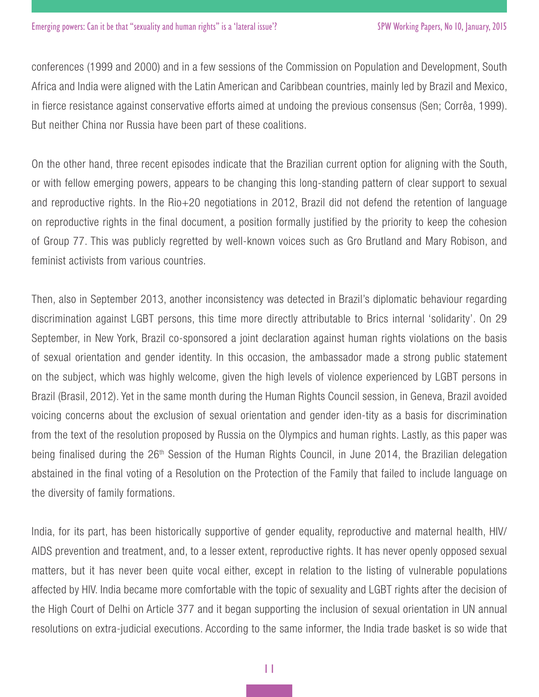conferences (1999 and 2000) and in a few sessions of the Commission on Population and Development, South Africa and India were aligned with the Latin American and Caribbean countries, mainly led by Brazil and Mexico, in fierce resistance against conservative efforts aimed at undoing the previous consensus (Sen; Corrêa, 1999). But neither China nor Russia have been part of these coalitions.

On the other hand, three recent episodes indicate that the Brazilian current option for aligning with the South, or with fellow emerging powers, appears to be changing this long-standing pattern of clear support to sexual and reproductive rights. In the Rio+20 negotiations in 2012, Brazil did not defend the retention of language on reproductive rights in the final document, a position formally justified by the priority to keep the cohesion of Group 77. This was publicly regretted by well-known voices such as Gro Brutland and Mary Robison, and feminist activists from various countries.

Then, also in September 2013, another inconsistency was detected in Brazil's diplomatic behaviour regarding discrimination against LGBT persons, this time more directly attributable to Brics internal 'solidarity'. On 29 September, in New York, Brazil co-sponsored a joint declaration against human rights violations on the basis of sexual orientation and gender identity. In this occasion, the ambassador made a strong public statement on the subject, which was highly welcome, given the high levels of violence experienced by LGBT persons in Brazil (Brasil, 2012). Yet in the same month during the Human Rights Council session, in Geneva, Brazil avoided voicing concerns about the exclusion of sexual orientation and gender iden-tity as a basis for discrimination from the text of the resolution proposed by Russia on the Olympics and human rights. Lastly, as this paper was being finalised during the 26<sup>th</sup> Session of the Human Rights Council, in June 2014, the Brazilian delegation abstained in the final voting of a Resolution on the Protection of the Family that failed to include language on the diversity of family formations.

India, for its part, has been historically supportive of gender equality, reproductive and maternal health, HIV/ AIDS prevention and treatment, and, to a lesser extent, reproductive rights. It has never openly opposed sexual matters, but it has never been quite vocal either, except in relation to the listing of vulnerable populations affected by HIV. India became more comfortable with the topic of sexuality and LGBT rights after the decision of the High Court of Delhi on Article 377 and it began supporting the inclusion of sexual orientation in UN annual resolutions on extra-judicial executions. According to the same informer, the India trade basket is so wide that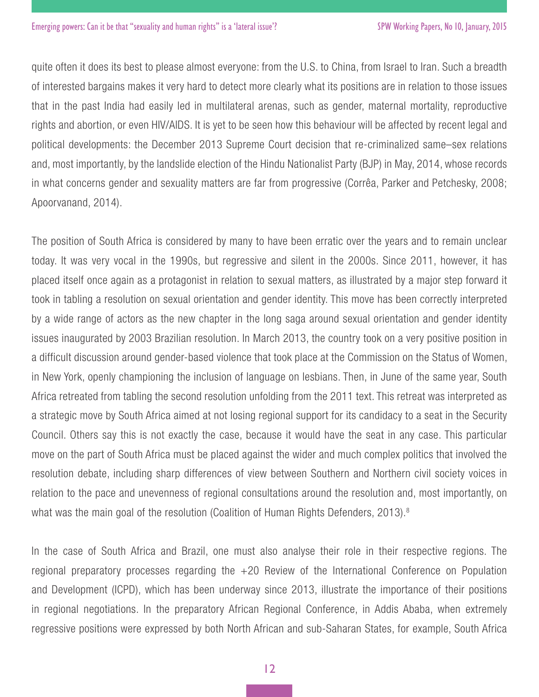quite often it does its best to please almost everyone: from the U.S. to China, from Israel to Iran. Such a breadth of interested bargains makes it very hard to detect more clearly what its positions are in relation to those issues that in the past India had easily led in multilateral arenas, such as gender, maternal mortality, reproductive rights and abortion, or even HIV/AIDS. It is yet to be seen how this behaviour will be affected by recent legal and political developments: the December 2013 Supreme Court decision that re-criminalized same–sex relations and, most importantly, by the landslide election of the Hindu Nationalist Party (BJP) in May, 2014, whose records in what concerns gender and sexuality matters are far from progressive (Corrêa, Parker and Petchesky, 2008; Apoorvanand, 2014).

The position of South Africa is considered by many to have been erratic over the years and to remain unclear today. It was very vocal in the 1990s, but regressive and silent in the 2000s. Since 2011, however, it has placed itself once again as a protagonist in relation to sexual matters, as illustrated by a major step forward it took in tabling a resolution on sexual orientation and gender identity. This move has been correctly interpreted by a wide range of actors as the new chapter in the long saga around sexual orientation and gender identity issues inaugurated by 2003 Brazilian resolution. In March 2013, the country took on a very positive position in a difficult discussion around gender-based violence that took place at the Commission on the Status of Women, in New York, openly championing the inclusion of language on lesbians. Then, in June of the same year, South Africa retreated from tabling the second resolution unfolding from the 2011 text. This retreat was interpreted as a strategic move by South Africa aimed at not losing regional support for its candidacy to a seat in the Security Council. Others say this is not exactly the case, because it would have the seat in any case. This particular move on the part of South Africa must be placed against the wider and much complex politics that involved the resolution debate, including sharp differences of view between Southern and Northern civil society voices in relation to the pace and unevenness of regional consultations around the resolution and, most importantly, on what was the main goal of the resolution (Coalition of Human Rights Defenders, 2013).<sup>8</sup>

In the case of South Africa and Brazil, one must also analyse their role in their respective regions. The regional preparatory processes regarding the +20 Review of the International Conference on Population and Development (ICPD), which has been underway since 2013, illustrate the importance of their positions in regional negotiations. In the preparatory African Regional Conference, in Addis Ababa, when extremely regressive positions were expressed by both North African and sub-Saharan States, for example, South Africa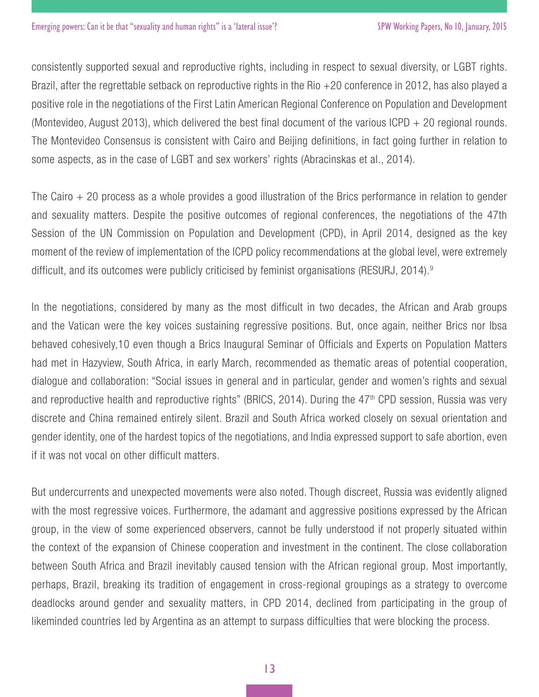consistently supported sexual and reproductive rights, including in respect to sexual diversity, or LGBT rights. Brazil, after the regrettable setback on reproductive rights in the Rio +20 conference in 2012, has also played a positive role in the negotiations of the First Latin American Regional Conference on Population and Development (Montevideo, August 2013), which delivered the best final document of the various ICPD + 20 regional rounds. The Montevideo Consensus is consistent with Cairo and Beijing definitions, in fact going further in relation to some aspects, as in the case of LGBT and sex workers' rights (Abracinskas et al., 2014).

The Cairo  $+$  20 process as a whole provides a good illustration of the Brics performance in relation to gender and sexuality matters. Despite the positive outcomes of regional conferences, the negotiations of the 47th Session of the UN Commission on Population and Development (CPD), in April 2014, designed as the key moment of the review of implementation of the ICPD policy recommendations at the global level, were extremely difficult, and its outcomes were publicly criticised by feminist organisations (RESURJ, 2014).9

In the negotiations, considered by many as the most difficult in two decades, the African and Arab groups and the Vatican were the key voices sustaining regressive positions. But, once again, neither Brics nor Ibsa behaved cohesively,10 even though a Brics Inaugural Seminar of Officials and Experts on Population Matters had met in Hazyview, South Africa, in early March, recommended as thematic areas of potential cooperation, dialogue and collaboration: "Social issues in general and in particular, gender and women's rights and sexual and reproductive health and reproductive rights" (BRICS, 2014). During the 47<sup>th</sup> CPD session, Russia was very discrete and China remained entirely silent. Brazil and South Africa worked closely on sexual orientation and gender identity, one of the hardest topics of the negotiations, and India expressed support to safe abortion, even if it was not vocal on other difficult matters.

But undercurrents and unexpected movements were also noted. Though discreet, Russia was evidently aligned with the most regressive voices. Furthermore, the adamant and aggressive positions expressed by the African group, in the view of some experienced observers, cannot be fully understood if not properly situated within the context of the expansion of Chinese cooperation and investment in the continent. The close collaboration between South Africa and Brazil inevitably caused tension with the African regional group. Most importantly, perhaps, Brazil, breaking its tradition of engagement in cross-regional groupings as a strategy to overcome deadlocks around gender and sexuality matters, in CPD 2014, declined from participating in the group of likeminded countries led by Argentina as an attempt to surpass difficulties that were blocking the process.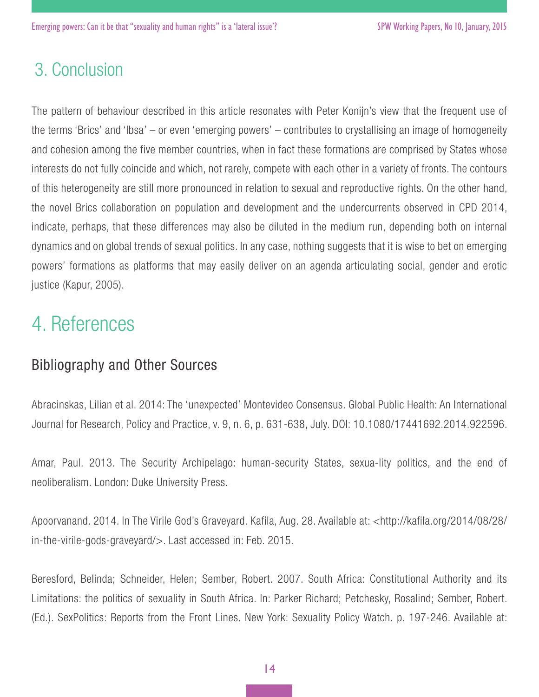### 3. Conclusion

The pattern of behaviour described in this article resonates with Peter Konijn's view that the frequent use of the terms 'Brics' and 'Ibsa' – or even 'emerging powers' – contributes to crystallising an image of homogeneity and cohesion among the five member countries, when in fact these formations are comprised by States whose interests do not fully coincide and which, not rarely, compete with each other in a variety of fronts. The contours of this heterogeneity are still more pronounced in relation to sexual and reproductive rights. On the other hand, the novel Brics collaboration on population and development and the undercurrents observed in CPD 2014, indicate, perhaps, that these differences may also be diluted in the medium run, depending both on internal dynamics and on global trends of sexual politics. In any case, nothing suggests that it is wise to bet on emerging powers' formations as platforms that may easily deliver on an agenda articulating social, gender and erotic justice (Kapur, 2005).

## 4. References

### Bibliography and Other Sources

Abracinskas, Lilian et al. 2014: The 'unexpected' Montevideo Consensus. Global Public Health: An International Journal for Research, Policy and Practice, v. 9, n. 6, p. 631-638, July. DOI: 10.1080/17441692.2014.922596.

Amar, Paul. 2013. The Security Archipelago: human-security States, sexua-lity politics, and the end of neoliberalism. London: Duke University Press.

Apoorvanand. 2014. In The Virile God's Graveyard. Kafila, Aug. 28. Available at: <http://kafila.org/2014/08/28/ in-the-virile-gods-graveyard/>. Last accessed in: Feb. 2015.

Beresford, Belinda; Schneider, Helen; Sember, Robert. 2007. South Africa: Constitutional Authority and its Limitations: the politics of sexuality in South Africa. In: Parker Richard; Petchesky, Rosalind; Sember, Robert. (Ed.). SexPolitics: Reports from the Front Lines. New York: Sexuality Policy Watch. p. 197-246. Available at: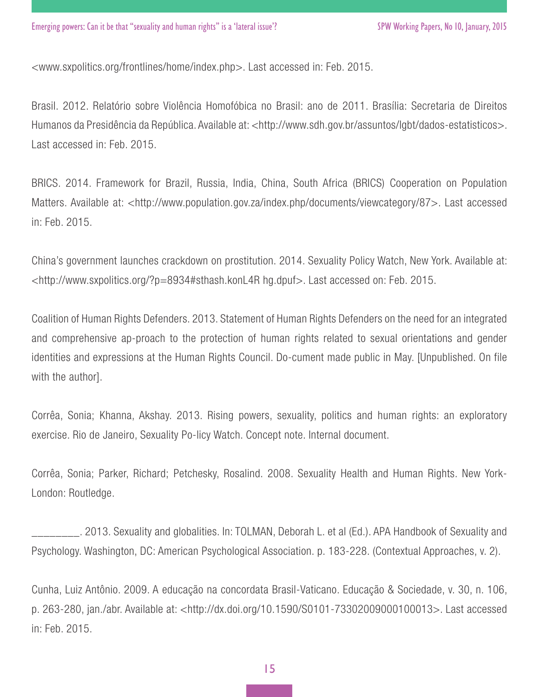<www.sxpolitics.org/frontlines/home/index.php>. Last accessed in: Feb. 2015.

Brasil. 2012. Relatório sobre Violência Homofóbica no Brasil: ano de 2011. Brasília: Secretaria de Direitos Humanos da Presidência da República. Available at: <http://www.sdh.gov.br/assuntos/lgbt/dados-estatisticos>. Last accessed in: Feb. 2015.

BRICS. 2014. Framework for Brazil, Russia, India, China, South Africa (BRICS) Cooperation on Population Matters. Available at: <http://www.population.gov.za/index.php/documents/viewcategory/87>. Last accessed in: Feb. 2015.

China's government launches crackdown on prostitution. 2014. Sexuality Policy Watch, New York. Available at: <http://www.sxpolitics.org/?p=8934#sthash.konL4R hg.dpuf>. Last accessed on: Feb. 2015.

Coalition of Human Rights Defenders. 2013. Statement of Human Rights Defenders on the need for an integrated and comprehensive ap-proach to the protection of human rights related to sexual orientations and gender identities and expressions at the Human Rights Council. Do-cument made public in May. [Unpublished. On file with the author].

Corrêa, Sonia; Khanna, Akshay. 2013. Rising powers, sexuality, politics and human rights: an exploratory exercise. Rio de Janeiro, Sexuality Po-licy Watch. Concept note. Internal document.

Corrêa, Sonia; Parker, Richard; Petchesky, Rosalind. 2008. Sexuality Health and Human Rights. New York-London: Routledge.

\_\_\_\_\_\_\_\_. 2013. Sexuality and globalities. In: TOLMAN, Deborah L. et al (Ed.). APA Handbook of Sexuality and Psychology. Washington, DC: American Psychological Association. p. 183-228. (Contextual Approaches, v. 2).

Cunha, Luiz Antônio. 2009. A educação na concordata Brasil-Vaticano. Educação & Sociedade, v. 30, n. 106, p. 263-280, jan./abr. Available at: <http://dx.doi.org/10.1590/S0101-73302009000100013>. Last accessed in: Feb. 2015.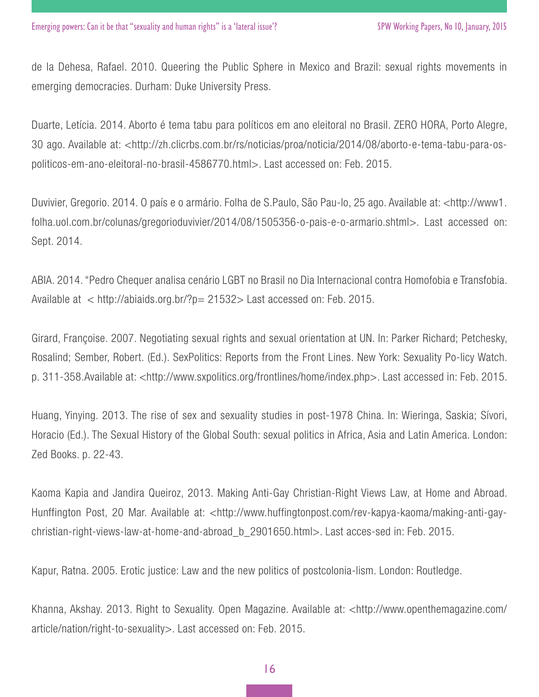de la Dehesa, Rafael. 2010. Queering the Public Sphere in Mexico and Brazil: sexual rights movements in emerging democracies. Durham: Duke University Press.

Duarte, Letícia. 2014. Aborto é tema tabu para políticos em ano eleitoral no Brasil. ZERO HORA, Porto Alegre, 30 ago. Available at: <http://zh.clicrbs.com.br/rs/noticias/proa/noticia/2014/08/aborto-e-tema-tabu-para-ospoliticos-em-ano-eleitoral-no-brasil-4586770.html>. Last accessed on: Feb. 2015.

Duvivier, Gregorio. 2014. O país e o armário. Folha de S.Paulo, São Pau-lo, 25 ago. Available at: <http://www1. folha.uol.com.br/colunas/gregorioduvivier/2014/08/1505356-o-pais-e-o-armario.shtml>. Last accessed on: Sept. 2014.

ABIA. 2014. "Pedro Chequer analisa cenário LGBT no Brasil no Dia Internacional contra Homofobia e Transfobia. Available at < http://abiaids.org.br/?p= 21532> Last accessed on: Feb. 2015.

Girard, Françoise. 2007. Negotiating sexual rights and sexual orientation at UN. In: Parker Richard; Petchesky, Rosalind; Sember, Robert. (Ed.). SexPolitics: Reports from the Front Lines. New York: Sexuality Po-licy Watch. p. 311-358.Available at: <http://www.sxpolitics.org/frontlines/home/index.php>. Last accessed in: Feb. 2015.

Huang, Yinying. 2013. The rise of sex and sexuality studies in post-1978 China. In: Wieringa, Saskia; Sívori, Horacio (Ed.). The Sexual History of the Global South: sexual politics in Africa, Asia and Latin America. London: Zed Books. p. 22-43.

Kaoma Kapia and Jandira Queiroz, 2013. Making Anti-Gay Christian-Right Views Law, at Home and Abroad. Hunffington Post, 20 Mar. Available at: <http://www.huffingtonpost.com/rev-kapya-kaoma/making-anti-gaychristian-right-views-law-at-home-and-abroad\_b\_2901650.html>. Last acces-sed in: Feb. 2015.

Kapur, Ratna. 2005. Erotic justice: Law and the new politics of postcolonia-lism. London: Routledge.

Khanna, Akshay. 2013. Right to Sexuality. Open Magazine. Available at: <http://www.openthemagazine.com/ article/nation/right-to-sexuality>. Last accessed on: Feb. 2015.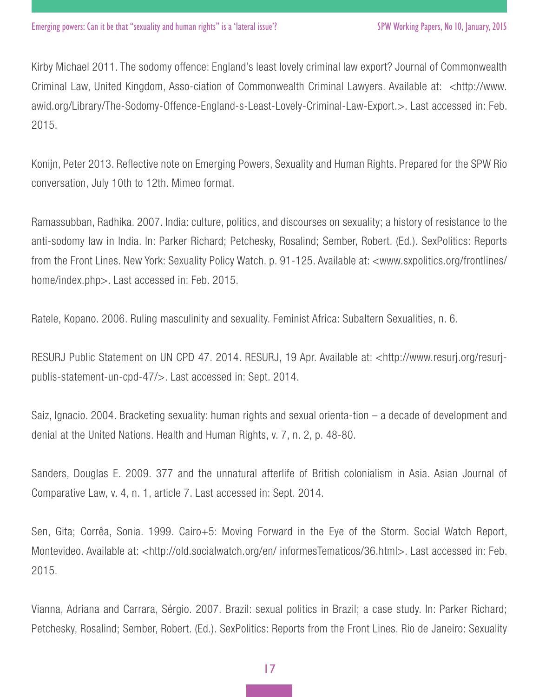Kirby Michael 2011. The sodomy offence: England's least lovely criminal law export? Journal of Commonwealth Criminal Law, United Kingdom, Asso-ciation of Commonwealth Criminal Lawyers. Available at: <http://www. awid.org/Library/The-Sodomy-Offence-England-s-Least-Lovely-Criminal-Law-Export.>. Last accessed in: Feb. 2015.

Konijn, Peter 2013. Reflective note on Emerging Powers, Sexuality and Human Rights. Prepared for the SPW Rio conversation, July 10th to 12th. Mimeo format.

Ramassubban, Radhika. 2007. India: culture, politics, and discourses on sexuality; a history of resistance to the anti-sodomy law in India. In: Parker Richard; Petchesky, Rosalind; Sember, Robert. (Ed.). SexPolitics: Reports from the Front Lines. New York: Sexuality Policy Watch. p. 91-125. Available at: <www.sxpolitics.org/frontlines/ home/index.php>. Last accessed in: Feb. 2015.

Ratele, Kopano. 2006. Ruling masculinity and sexuality. Feminist Africa: Subaltern Sexualities, n. 6.

RESURJ Public Statement on UN CPD 47. 2014. RESURJ, 19 Apr. Available at: <http://www.resurj.org/resurjpublis-statement-un-cpd-47/>. Last accessed in: Sept. 2014.

Saiz, Ignacio. 2004. Bracketing sexuality: human rights and sexual orienta-tion – a decade of development and denial at the United Nations. Health and Human Rights, v. 7, n. 2, p. 48-80.

Sanders, Douglas E. 2009. 377 and the unnatural afterlife of British colonialism in Asia. Asian Journal of Comparative Law, v. 4, n. 1, article 7. Last accessed in: Sept. 2014.

Sen, Gita; Corrêa, Sonia. 1999. Cairo+5: Moving Forward in the Eye of the Storm. Social Watch Report, Montevideo. Available at: <http://old.socialwatch.org/en/ informesTematicos/36.html>. Last accessed in: Feb. 2015.

Vianna, Adriana and Carrara, Sérgio. 2007. Brazil: sexual politics in Brazil; a case study. In: Parker Richard; Petchesky, Rosalind; Sember, Robert. (Ed.). SexPolitics: Reports from the Front Lines. Rio de Janeiro: Sexuality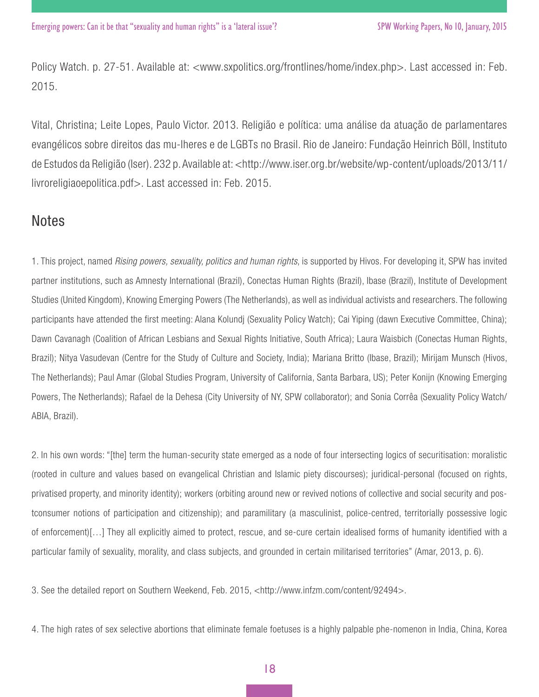Policy Watch. p. 27-51. Available at: <www.sxpolitics.org/frontlines/home/index.php>. Last accessed in: Feb. 2015.

Vital, Christina; Leite Lopes, Paulo Victor. 2013. Religião e política: uma análise da atuação de parlamentares evangélicos sobre direitos das mu-lheres e de LGBTs no Brasil. Rio de Janeiro: Fundação Heinrich Böll, Instituto de Estudos da Religião (Iser). 232 p. Available at: <http://www.iser.org.br/website/wp-content/uploads/2013/11/ livroreligiaoepolitica.pdf>. Last accessed in: Feb. 2015.

### **Notes**

1. This project, named *Rising powers, sexuality, politics and human rights*, is supported by Hivos. For developing it, SPW has invited partner institutions, such as Amnesty International (Brazil), Conectas Human Rights (Brazil), Ibase (Brazil), Institute of Development Studies (United Kingdom), Knowing Emerging Powers (The Netherlands), as well as individual activists and researchers. The following participants have attended the first meeting: Alana Kolundj (Sexuality Policy Watch); Cai Yiping (dawn Executive Committee, China); Dawn Cavanagh (Coalition of African Lesbians and Sexual Rights Initiative, South Africa); Laura Waisbich (Conectas Human Rights, Brazil); Nitya Vasudevan (Centre for the Study of Culture and Society, India); Mariana Britto (Ibase, Brazil); Mirijam Munsch (Hivos, The Netherlands); Paul Amar (Global Studies Program, University of California, Santa Barbara, US); Peter Konijn (Knowing Emerging Powers, The Netherlands); Rafael de la Dehesa (City University of NY, SPW collaborator); and Sonia Corrêa (Sexuality Policy Watch/ ABIA, Brazil).

2. In his own words: "[the] term the human-security state emerged as a node of four intersecting logics of securitisation: moralistic (rooted in culture and values based on evangelical Christian and Islamic piety discourses); juridical-personal (focused on rights, privatised property, and minority identity); workers (orbiting around new or revived notions of collective and social security and postconsumer notions of participation and citizenship); and paramilitary (a masculinist, police-centred, territorially possessive logic of enforcement)[…] They all explicitly aimed to protect, rescue, and se-cure certain idealised forms of humanity identified with a particular family of sexuality, morality, and class subjects, and grounded in certain militarised territories" (Amar, 2013, p. 6).

3. See the detailed report on Southern Weekend, Feb. 2015, <http://www.infzm.com/content/92494>.

4. The high rates of sex selective abortions that eliminate female foetuses is a highly palpable phe-nomenon in India, China, Korea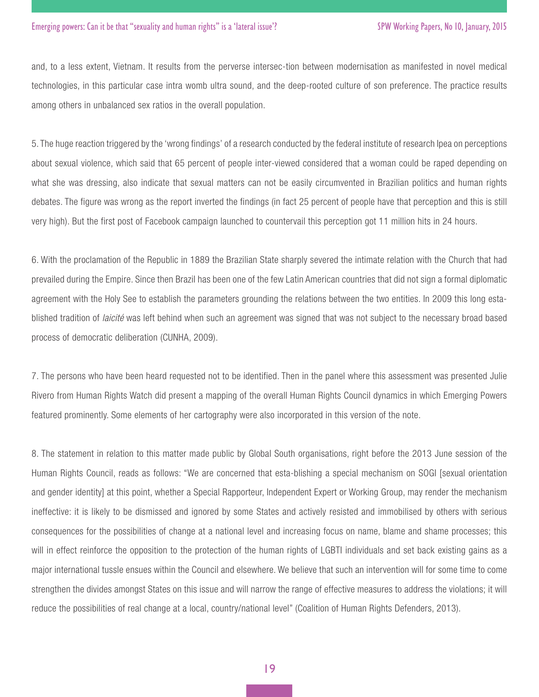#### SPW Working Papers, No 10, January, 2015

and, to a less extent, Vietnam. It results from the perverse intersec-tion between modernisation as manifested in novel medical technologies, in this particular case intra womb ultra sound, and the deep-rooted culture of son preference. The practice results among others in unbalanced sex ratios in the overall population.

5. The huge reaction triggered by the 'wrong findings' of a research conducted by the federal institute of research Ipea on perceptions about sexual violence, which said that 65 percent of people inter-viewed considered that a woman could be raped depending on what she was dressing, also indicate that sexual matters can not be easily circumvented in Brazilian politics and human rights debates. The figure was wrong as the report inverted the findings (in fact 25 percent of people have that perception and this is still very high). But the first post of Facebook campaign launched to countervail this perception got 11 million hits in 24 hours.

6. With the proclamation of the Republic in 1889 the Brazilian State sharply severed the intimate relation with the Church that had prevailed during the Empire. Since then Brazil has been one of the few Latin American countries that did not sign a formal diplomatic agreement with the Holy See to establish the parameters grounding the relations between the two entities. In 2009 this long established tradition of *laicité* was left behind when such an agreement was signed that was not subject to the necessary broad based process of democratic deliberation (CUNHA, 2009).

7. The persons who have been heard requested not to be identified. Then in the panel where this assessment was presented Julie Rivero from Human Rights Watch did present a mapping of the overall Human Rights Council dynamics in which Emerging Powers featured prominently. Some elements of her cartography were also incorporated in this version of the note.

8. The statement in relation to this matter made public by Global South organisations, right before the 2013 June session of the Human Rights Council, reads as follows: "We are concerned that esta-blishing a special mechanism on SOGI [sexual orientation and gender identity] at this point, whether a Special Rapporteur, Independent Expert or Working Group, may render the mechanism ineffective: it is likely to be dismissed and ignored by some States and actively resisted and immobilised by others with serious consequences for the possibilities of change at a national level and increasing focus on name, blame and shame processes; this will in effect reinforce the opposition to the protection of the human rights of LGBTI individuals and set back existing gains as a major international tussle ensues within the Council and elsewhere. We believe that such an intervention will for some time to come strengthen the divides amongst States on this issue and will narrow the range of effective measures to address the violations; it will reduce the possibilities of real change at a local, country/national level" (Coalition of Human Rights Defenders, 2013).